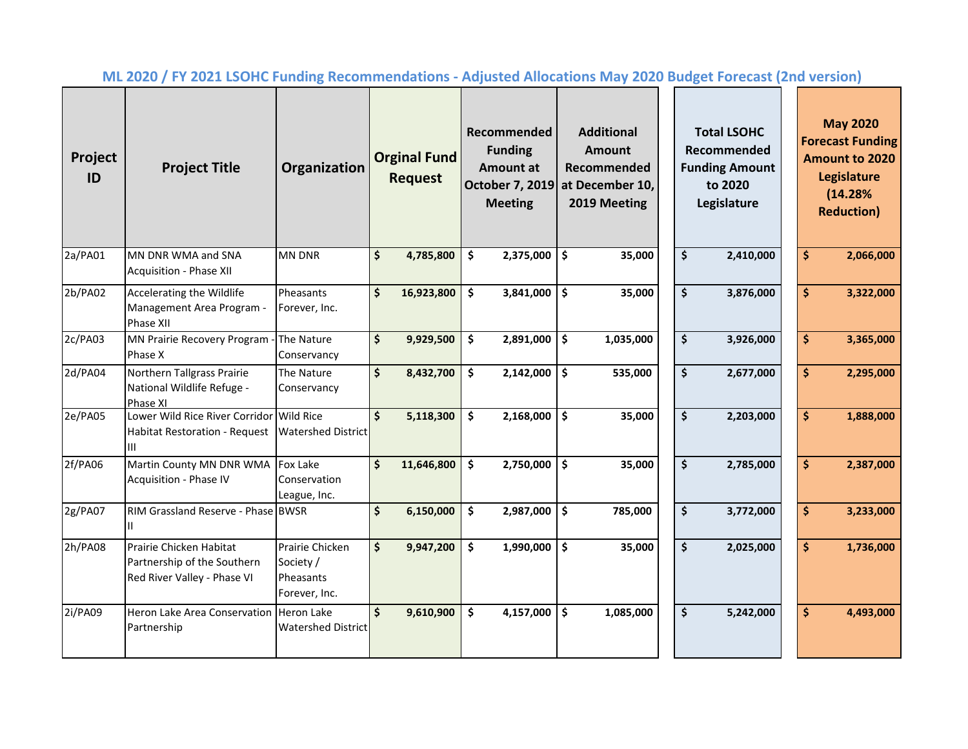| Project<br>ID | <b>Project Title</b>                                                                   | Organization                                               |                    | <b>Orginal Fund</b><br><b>Request</b> |               | Recommended<br><b>Funding</b><br>Amount at<br><b>October 7, 2019</b><br><b>Meeting</b> |    | <b>Additional</b><br>Amount<br>Recommended<br>at December 10,<br>2019 Meeting | <b>Total LSOHC</b><br>Recommended<br><b>Funding Amount</b><br>to 2020<br>Legislature |  |                    | <b>May 2020</b><br><b>Forecast Funding</b><br><b>Amount to 2020</b><br>Legislature<br>(14.28%<br><b>Reduction</b> ) |
|---------------|----------------------------------------------------------------------------------------|------------------------------------------------------------|--------------------|---------------------------------------|---------------|----------------------------------------------------------------------------------------|----|-------------------------------------------------------------------------------|--------------------------------------------------------------------------------------|--|--------------------|---------------------------------------------------------------------------------------------------------------------|
| 2a/PA01       | MN DNR WMA and SNA<br>Acquisition - Phase XII                                          | <b>MN DNR</b>                                              | \$                 | 4,785,800                             | \$            | 2,375,000                                                                              | \$ | 35,000                                                                        | \$<br>2,410,000                                                                      |  | $\hat{\mathsf{S}}$ | 2,066,000                                                                                                           |
| 2b/PA02       | Accelerating the Wildlife<br>Management Area Program -<br>Phase XII                    | Pheasants<br>Forever, Inc.                                 | \$                 | 16,923,800                            | $\mathsf{\$}$ | 3,841,000                                                                              | \$ | 35,000                                                                        | \$<br>3,876,000                                                                      |  | $\hat{\mathsf{S}}$ | 3,322,000                                                                                                           |
| 2c/PA03       | MN Prairie Recovery Program -<br>Phase X                                               | The Nature<br>Conservancy                                  | \$                 | 9,929,500                             | \$            | 2,891,000                                                                              | \$ | 1,035,000                                                                     | \$<br>3,926,000                                                                      |  | $\dot{\mathsf{S}}$ | 3,365,000                                                                                                           |
| 2d/PA04       | Northern Tallgrass Prairie<br>National Wildlife Refuge -<br>Phase XI                   | The Nature<br>Conservancy                                  | \$                 | 8,432,700                             | \$            | 2,142,000                                                                              | \$ | 535,000                                                                       | \$<br>2,677,000                                                                      |  | \$                 | 2,295,000                                                                                                           |
| 2e/PA05       | Lower Wild Rice River Corridor Wild Rice<br><b>Habitat Restoration - Request</b><br>ШL | <b>Watershed District</b>                                  | $\mathsf{\hat{S}}$ | 5,118,300                             | \$            | 2,168,000                                                                              | \$ | 35,000                                                                        | $\overline{\boldsymbol{\zeta}}$<br>2,203,000                                         |  | $\hat{\mathsf{S}}$ | 1,888,000                                                                                                           |
| 2f/PA06       | Martin County MN DNR WMA<br>Acquisition - Phase IV                                     | <b>Fox Lake</b><br>Conservation<br>League, Inc.            | \$                 | 11,646,800                            | \$            | 2,750,000                                                                              | \$ | 35,000                                                                        | \$<br>2,785,000                                                                      |  | $\hat{\mathsf{S}}$ | 2,387,000                                                                                                           |
| 2g/PA07       | RIM Grassland Reserve - Phase BWSR<br>$\mathbf{II}$                                    |                                                            | \$                 | 6,150,000                             | \$            | 2,987,000                                                                              | \$ | 785,000                                                                       | \$<br>3,772,000                                                                      |  | \$                 | 3,233,000                                                                                                           |
| 2h/PA08       | Prairie Chicken Habitat<br>Partnership of the Southern<br>Red River Valley - Phase VI  | Prairie Chicken<br>Society /<br>Pheasants<br>Forever, Inc. | \$                 | 9,947,200                             | \$            | 1,990,000                                                                              | \$ | 35,000                                                                        | \$<br>2,025,000                                                                      |  | $\hat{\mathsf{S}}$ | 1,736,000                                                                                                           |
| 2i/PA09       | Heron Lake Area Conservation Heron Lake<br>Partnership                                 | <b>Watershed District</b>                                  | \$                 | 9,610,900                             | \$            | 4,157,000                                                                              | \$ | 1,085,000                                                                     | \$<br>5,242,000                                                                      |  | $\dot{\mathsf{s}}$ | 4,493,000                                                                                                           |

**ML 2020 / FY 2021 LSOHC Funding Recommendations - Adjusted Allocations May 2020 Budget Forecast (2nd version)**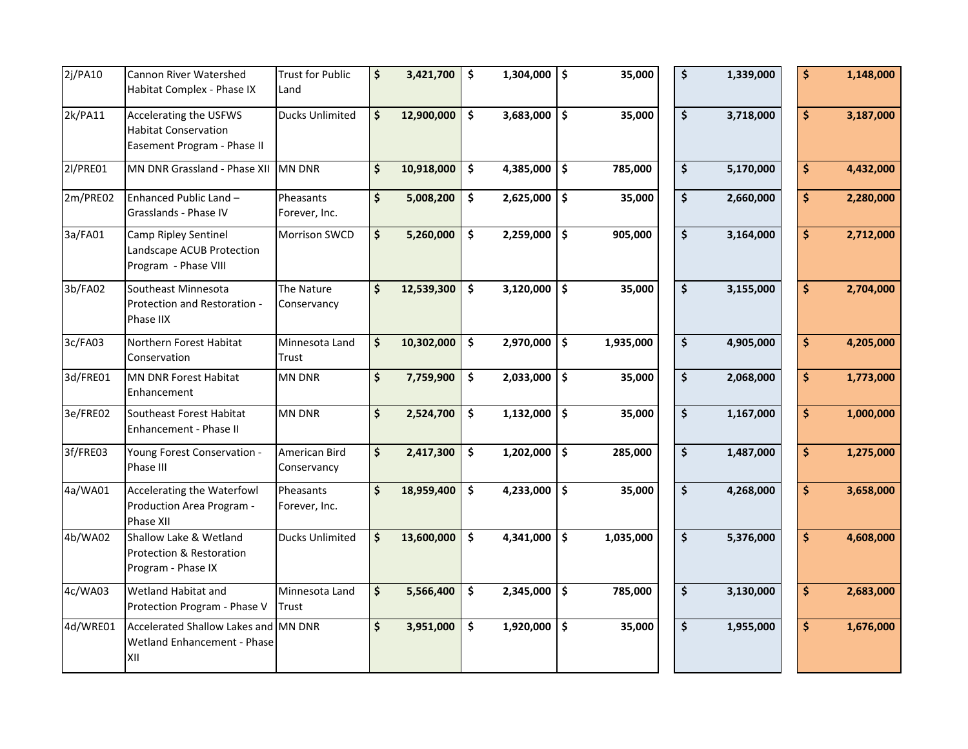| 2j/PA10  | Cannon River Watershed<br>Habitat Complex - Phase IX                                 | <b>Trust for Public</b><br>Land | \$      | 3,421,700  | $\ddot{\bm{\zeta}}$ | $1,304,000$ \$         |      | 35,000    | \$<br>1,339,000 | \$ | 1,148,000 |
|----------|--------------------------------------------------------------------------------------|---------------------------------|---------|------------|---------------------|------------------------|------|-----------|-----------------|----|-----------|
| 2k/PA11  | Accelerating the USFWS<br><b>Habitat Conservation</b><br>Easement Program - Phase II | <b>Ducks Unlimited</b>          | \$      | 12,900,000 | $\ddot{\bm{\zeta}}$ | 3,683,000              | \$   | 35,000    | \$<br>3,718,000 | \$ | 3,187,000 |
| 2l/PRE01 | MN DNR Grassland - Phase XII                                                         | <b>MN DNR</b>                   | \$      | 10,918,000 | $\ddot{\bm{\zeta}}$ | 4,385,000              | \$   | 785,000   | \$<br>5,170,000 | \$ | 4,432,000 |
| 2m/PRE02 | Enhanced Public Land -<br>Grasslands - Phase IV                                      | Pheasants<br>Forever, Inc.      | \$      | 5,008,200  | \$                  | $2,625,000$ \$         |      | 35,000    | \$<br>2,660,000 | \$ | 2,280,000 |
| 3a/FA01  | Camp Ripley Sentinel<br>Landscape ACUB Protection<br>Program - Phase VIII            | <b>Morrison SWCD</b>            | \$      | 5,260,000  | \$                  | 2,259,000              | \$   | 905,000   | \$<br>3,164,000 | \$ | 2,712,000 |
| 3b/FA02  | Southeast Minnesota<br>Protection and Restoration -<br>Phase IIX                     | The Nature<br>Conservancy       | \$      | 12,539,300 | \$                  | 3,120,000              | \$   | 35,000    | \$<br>3,155,000 | \$ | 2,704,000 |
| 3c/FA03  | Northern Forest Habitat<br>Conservation                                              | Minnesota Land<br>Trust         | \$      | 10,302,000 | \$                  | 2,970,000              | \$   | 1,935,000 | \$<br>4,905,000 | \$ | 4,205,000 |
| 3d/FRE01 | MN DNR Forest Habitat<br>Enhancement                                                 | <b>MN DNR</b>                   | \$      | 7,759,900  | \$                  | 2,033,000              | \$   | 35,000    | \$<br>2,068,000 | \$ | 1,773,000 |
| 3e/FRE02 | Southeast Forest Habitat<br>Enhancement - Phase II                                   | <b>MN DNR</b>                   | \$      | 2,524,700  | \$                  | 1,132,000              | \$   | 35,000    | \$<br>1,167,000 | \$ | 1,000,000 |
| 3f/FRE03 | Young Forest Conservation -<br>Phase III                                             | American Bird<br>Conservancy    | \$      | 2,417,300  | \$                  | $\overline{1,}202,000$ | \$   | 285,000   | \$<br>1,487,000 | \$ | 1,275,000 |
| 4a/WA01  | Accelerating the Waterfowl<br>Production Area Program -<br>Phase XII                 | Pheasants<br>Forever, Inc.      | \$      | 18,959,400 | \$                  | 4,233,000              | \$ ا | 35,000    | \$<br>4,268,000 | \$ | 3,658,000 |
| 4b/WA02  | Shallow Lake & Wetland<br>Protection & Restoration<br>Program - Phase IX             | <b>Ducks Unlimited</b>          | \$      | 13,600,000 | \$                  | 4,341,000              | \$   | 1,035,000 | \$<br>5,376,000 | \$ | 4,608,000 |
| 4c/WA03  | Wetland Habitat and<br>Protection Program - Phase V                                  | Minnesota Land<br>Trust         | $\zeta$ | 5,566,400  | \$                  | 2,345,000              | \$   | 785,000   | \$<br>3,130,000 | \$ | 2,683,000 |
| 4d/WRE01 | Accelerated Shallow Lakes and MN DNR<br>Wetland Enhancement - Phase<br>XII           |                                 | \$      | 3,951,000  | \$                  | 1,920,000              | \$   | 35,000    | \$<br>1,955,000 | \$ | 1,676,000 |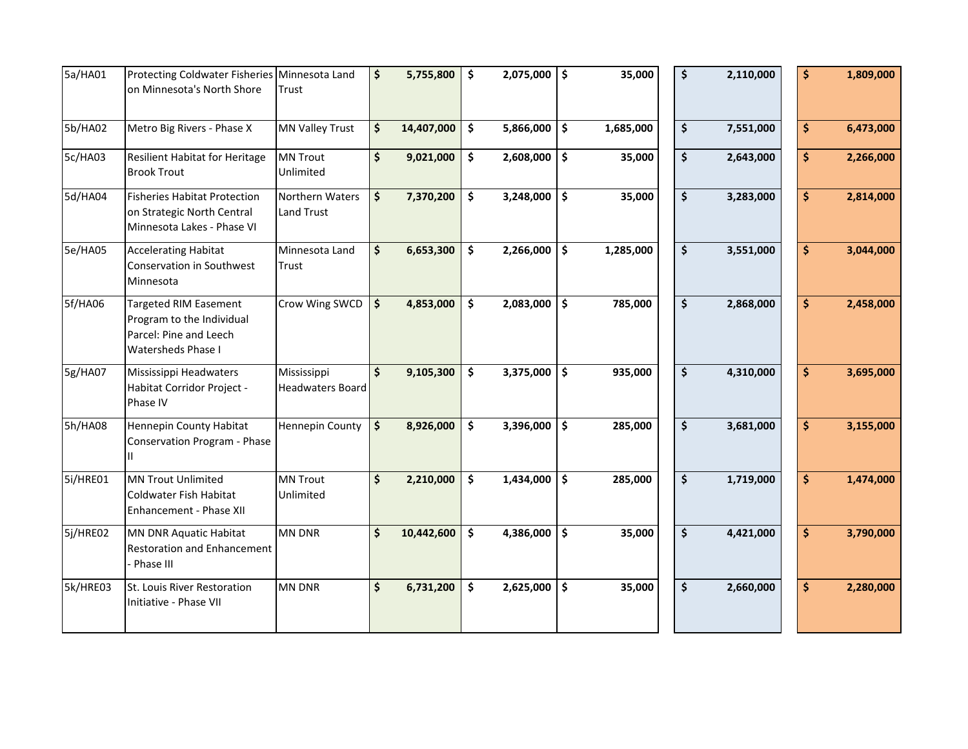| 5a/HA01  | Protecting Coldwater Fisheries Minnesota Land                                                                    |                                        | \$            | 5,755,800  | $\ddot{\bm{\zeta}}$ | $2,075,000$   \$ |                     | 35,000    | \$<br>2,110,000 | \$  | 1,809,000 |
|----------|------------------------------------------------------------------------------------------------------------------|----------------------------------------|---------------|------------|---------------------|------------------|---------------------|-----------|-----------------|-----|-----------|
|          | on Minnesota's North Shore                                                                                       | Trust                                  |               |            |                     |                  |                     |           |                 |     |           |
| 5b/HA02  | Metro Big Rivers - Phase X                                                                                       | <b>MN Valley Trust</b>                 | \$            | 14,407,000 | $\ddot{\bm{\zeta}}$ | $5,866,000$ \$   |                     | 1,685,000 | \$<br>7,551,000 | \$. | 6,473,000 |
| 5c/HA03  | Resilient Habitat for Heritage<br><b>Brook Trout</b>                                                             | <b>MN Trout</b><br>Unlimited           | \$            | 9,021,000  | \$                  | $2,608,000$ \$   |                     | 35,000    | \$<br>2,643,000 | \$  | 2,266,000 |
| 5d/HA04  | <b>Fisheries Habitat Protection</b><br>on Strategic North Central<br>Minnesota Lakes - Phase VI                  | Northern Waters<br><b>Land Trust</b>   | \$            | 7,370,200  | $\ddot{\bm{\zeta}}$ | $3,248,000$ \$   |                     | 35,000    | \$<br>3,283,000 | \$  | 2,814,000 |
| 5e/HA05  | <b>Accelerating Habitat</b><br>Conservation in Southwest<br>Minnesota                                            | Minnesota Land<br>Trust                | \$            | 6,653,300  | $\ddot{\bm{\zeta}}$ | $2,266,000$ \$   |                     | 1,285,000 | \$<br>3,551,000 | \$  | 3,044,000 |
| 5f/HA06  | <b>Targeted RIM Easement</b><br>Program to the Individual<br>Parcel: Pine and Leech<br><b>Watersheds Phase I</b> | Crow Wing SWCD                         | $\frac{1}{2}$ | 4,853,000  | $\ddot{\bm{\zeta}}$ | 2,083,000        | \$                  | 785,000   | \$<br>2,868,000 | \$  | 2,458,000 |
| 5g/HA07  | Mississippi Headwaters<br>Habitat Corridor Project -<br>Phase IV                                                 | Mississippi<br><b>Headwaters Board</b> | \$            | 9,105,300  | $\ddot{\bm{\zeta}}$ | 3,375,000        | \$                  | 935,000   | \$<br>4,310,000 | \$  | 3,695,000 |
| 5h/HA08  | Hennepin County Habitat<br>Conservation Program - Phase<br>$\mathbf{H}$                                          | <b>Hennepin County</b>                 | $\frac{1}{2}$ | 8,926,000  | $\ddot{\bm{\zeta}}$ | $3,396,000$ \$   |                     | 285,000   | \$<br>3,681,000 | \$  | 3,155,000 |
| 5i/HRE01 | MN Trout Unlimited<br>Coldwater Fish Habitat<br>Enhancement - Phase XII                                          | <b>MN Trout</b><br>Unlimited           | \$            | 2,210,000  | \$                  | 1,434,000        | $\ddot{\bm{\zeta}}$ | 285,000   | \$<br>1,719,000 | \$  | 1,474,000 |
| 5j/HRE02 | MN DNR Aquatic Habitat<br><b>Restoration and Enhancement</b><br>Phase III                                        | MN DNR                                 | \$            | 10,442,600 | $\ddot{\bm{\zeta}}$ | 4,386,000        | \$                  | 35,000    | \$<br>4,421,000 | \$  | 3,790,000 |
| 5k/HRE03 | St. Louis River Restoration<br>Initiative - Phase VII                                                            | <b>MN DNR</b>                          | \$            | 6,731,200  | \$                  | $2,625,000$ \$   |                     | 35,000    | \$<br>2,660,000 | \$  | 2,280,000 |